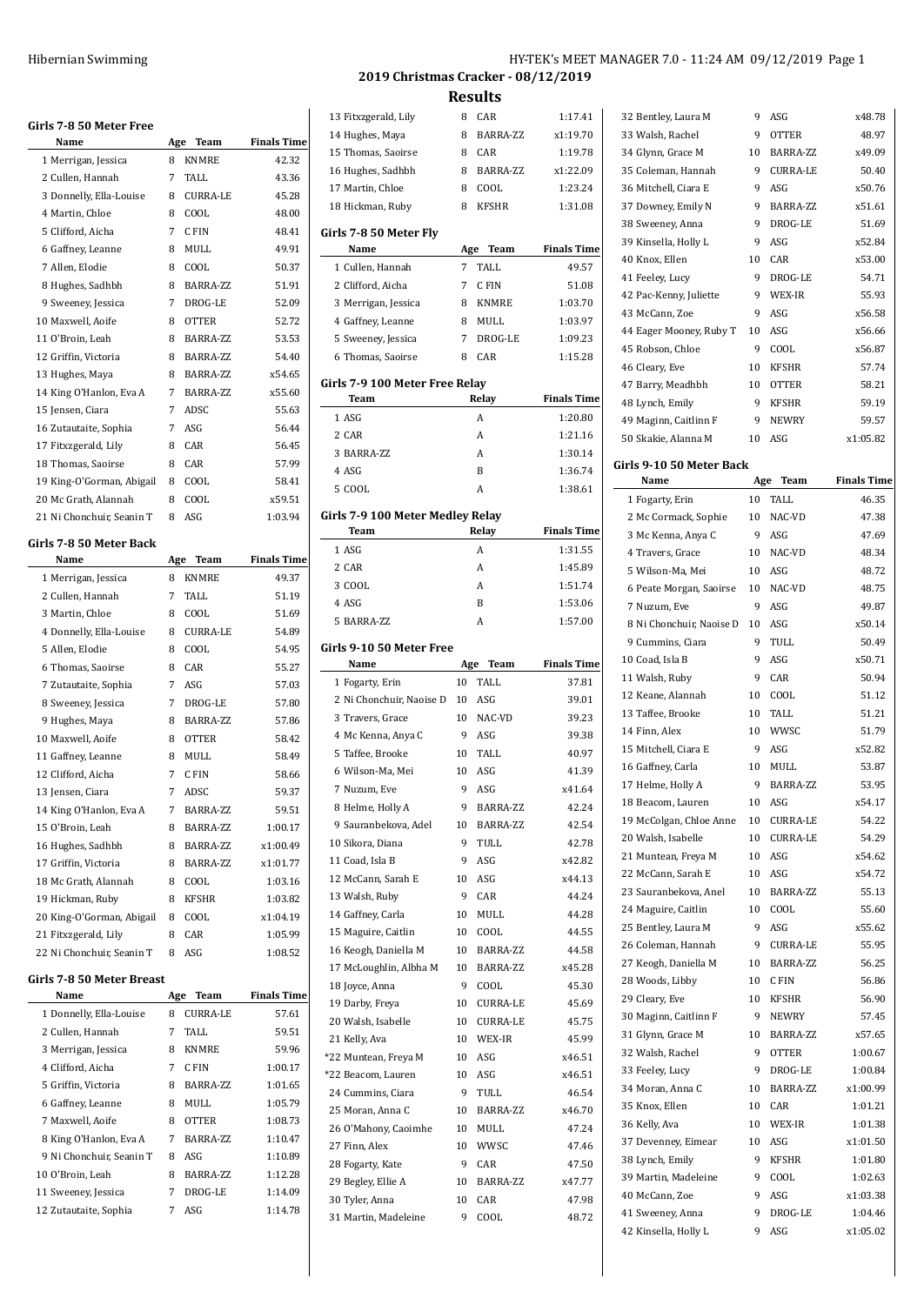| Girls 7-8 50 Meter Free   |     |                 |                    |
|---------------------------|-----|-----------------|--------------------|
| Name                      | Age | Team            | <b>Finals Time</b> |
| 1 Merrigan, Jessica       | 8   | <b>KNMRE</b>    | 42.32              |
| 2 Cullen, Hannah          | 7   | TALL            | 43.36              |
| 3 Donnelly, Ella-Louise   | 8   | <b>CURRA-LE</b> | 45.28              |
| 4 Martin, Chloe           | 8   | COOL            | 48.00              |
| 5 Clifford, Aicha         | 7   | C FIN           | 48.41              |
| 6 Gaffney, Leanne         | 8   | MULL            | 49.91              |
| 7 Allen, Elodie           | 8   | COOL            | 50.37              |
| 8 Hughes, Sadhbh          | 8   | BARRA-ZZ        | 51.91              |
| 9 Sweeney, Jessica        | 7   | DROG-LE         | 52.09              |
| 10 Maxwell, Aoife         | 8   | <b>OTTER</b>    | 52.72              |
| 11 O'Broin, Leah          | 8   | BARRA-ZZ        | 53.53              |
| 12 Griffin, Victoria      | 8   | BARRA-ZZ        | 54.40              |
| 13 Hughes, Maya           | 8   | BARRA-ZZ        | x54.65             |
| 14 King O'Hanlon, Eva A   | 7   | BARRA-ZZ        | x55.60             |
| 15 Jensen, Ciara          | 7   | ADSC            | 55.63              |
| 16 Zutautaite, Sophia     | 7   | ASG             | 56.44              |
| 17 Fitxzgerald, Lily      | 8   | CAR             | 56.45              |
| 18 Thomas, Saoirse        | 8   | CAR             | 57.99              |
| 19 King-O'Gorman, Abigail | 8   | COOL            | 58.41              |
| 20 Mc Grath, Alannah      | 8   | COOL            | x59.51             |
| 21 Ni Chonchuir, Seanin T | 8   | ASG             | 1:03.94            |
| Girls 7-8 50 Meter Back   |     |                 |                    |
| Name                      | Age | Team            | <b>Finals Time</b> |
| 1 Merrigan, Jessica       | 8   | <b>KNMRE</b>    | 49.37              |
| 2 Cullen, Hannah          | 7   | TALL            | 51.19              |
| 3 Martin, Chloe           | 8   | COOL            | 51.69              |
| 4 Donnelly, Ella-Louise   | 8   | <b>CURRA-LE</b> | 54.89              |
| 5 Allen, Elodie           | 8   | COOL            | 54.95              |
| 6 Thomas, Saoirse         | 8   | CAR             | 55.27              |
| 7 Zutautaite, Sophia      | 7   | ASG             | 57.03              |
| 8 Sweeney, Jessica        | 7   | DROG-LE         | 57.80              |
| 9 Hughes, Maya            | 8   | <b>BARRA-ZZ</b> | 57.86              |
| 10 Maxwell, Aoife         | 8   | <b>OTTER</b>    | 58.42              |
| 11 Gaffney, Leanne        | 8   | MULL            | 58.49              |
| 12 Clifford, Aicha        | 7   | C FIN           | 58.66              |
| 13 Jensen, Ciara          | 7   | ADSC            | 59.37              |
| 14 King O'Hanlon, Eva A   | 7.  | BARRA-ZZ        | 59.51              |
| 15 O'Broin, Leah          | 8   | BARRA-ZZ        | 1:00.17            |
| 16 Hughes, Sadhbh         | 8   | BARRA-ZZ        | x1:00.49           |
| 17 Griffin, Victoria      | 8   | BARRA-ZZ        | x1:01.77           |
| 18 Mc Grath, Alannah      | 8   | COOL            | 1:03.16            |
| 19 Hickman, Ruby          | 8   | <b>KFSHR</b>    | 1:03.82            |
| 20 King-O'Gorman, Abigail | 8   | COOL            | x1:04.19           |
| 21 Fitxzgerald, Lily      | 8   | CAR             | 1:05.99            |
| 22 Ni Chonchuir, Seanin T | 8   | ASG             | 1:08.52            |
| Girls 7-8 50 Meter Breast |     |                 |                    |
| Name                      | Age | Team            | <b>Finals Time</b> |
| 1 Donnelly, Ella-Louise   | 8   | <b>CURRA-LE</b> | 57.61              |
| 2 Cullen, Hannah          | 7   | TALL            | 59.51              |
| 3 Merrigan, Jessica       | 8   | <b>KNMRE</b>    | 59.96              |
| 4 Clifford, Aicha         | 7   | C FIN           | 1:00.17            |
| 5 Griffin, Victoria       | 8   | BARRA-ZZ        | 1:01.65            |
| 6 Gaffney, Leanne         | 8   | MULL            | 1:05.79            |
| 7 Maxwell, Aoife          | 8   | <b>OTTER</b>    | 1:08.73            |
| 8 King O'Hanlon, Eva A    | 7   | BARRA-ZZ        | 1:10.47            |
| 9 Ni Chonchuir, Seanin T  | 8   | ASG             | 1:10.89            |
| 10 O'Broin, Leah          | 8   | BARRA-ZZ        | 1:12.28            |
|                           |     |                 |                    |

11 Sweeney, Jessica 7 DROG-LE 1:14.09 Zutautaite, Sophia 7 ASG 1:14.78

## Hibernian Swimming **HY-TEK's MEET MANAGER 7.0 - 11:24 AM 09/12/2019** Page 1

**2019 Christmas Cracker - 08/12/2019 Results**

| 13 Fitxzgerald, Lily             | 8   | CAR          | 1:17.41            |
|----------------------------------|-----|--------------|--------------------|
| 14 Hughes, Maya                  | 8   | BARRA-ZZ     | x1:19.70           |
| 15 Thomas, Saoirse               | 8   | CAR          | 1:19.78            |
| 16 Hughes, Sadhbh                | 8   | BARRA-ZZ     | x1:22.09           |
| 17 Martin, Chloe                 | 8   | COOL         | 1:23.24            |
| 18 Hickman, Ruby                 | 8   | <b>KFSHR</b> | 1:31.08            |
|                                  |     |              |                    |
| Girls 7-8 50 Meter Fly           |     |              |                    |
| Name                             |     | Age Team     | <b>Finals Time</b> |
| 1 Cullen, Hannah                 | 7   | <b>TALL</b>  | 49.57              |
| 2 Clifford, Aicha                | 7   | C FIN        | 51.08              |
| 3 Merrigan, Jessica              | 8   | <b>KNMRE</b> | 1:03.70            |
| 4 Gaffney, Leanne                | 8   | MULL         | 1:03.97            |
|                                  | 7   | DROG-LE      | 1:09.23            |
| 5 Sweeney, Jessica               |     |              |                    |
| 6 Thomas, Saoirse                | 8   | CAR          | 1:15.28            |
| Girls 7-9 100 Meter Free Relay   |     |              |                    |
| Team                             |     | Relay        | <b>Finals Time</b> |
| 1 ASG                            |     | A            | 1:20.80            |
| 2 CAR                            |     | A            | 1:21.16            |
|                                  |     |              |                    |
| 3 BARRA-ZZ                       |     | Α            | 1:30.14            |
| 4 ASG                            |     | B            | 1:36.74            |
| 5 COOL                           |     | A            | 1:38.61            |
| Girls 7-9 100 Meter Medley Relay |     |              |                    |
| Team                             |     | Relay        | <b>Finals Time</b> |
|                                  |     | A            |                    |
| 1 ASG                            |     |              | 1:31.55            |
| 2 CAR                            |     | A            | 1:45.89            |
| 3 COOL                           |     | A            | 1:51.74            |
| 4 ASG                            |     | B            | 1:53.06            |
| 5 BARRA-ZZ                       |     | A            | 1:57.00            |
|                                  |     |              |                    |
| Girls 9-10 50 Meter Free         |     |              |                    |
| Name                             | Age | Team         | <b>Finals Time</b> |
| 1 Fogarty, Erin                  | 10  | <b>TALL</b>  | 37.81              |
| 2 Ni Chonchuir, Naoise D         | 10  | ASG          | 39.01              |
|                                  |     | NAC-VD       |                    |
| 3 Travers, Grace                 | 10  |              | 39.23              |
| 4 Mc Kenna, Anya C               | 9   | ASG          | 39.38              |
| 5 Taffee, Brooke                 | 10  | TALL         | 40.97              |
| 6 Wilson-Ma, Mei                 | 10  | ASG          | 41.39              |
| 7 Nuzum, Eve                     | 9   | ASG          | x41.64             |
|                                  |     |              |                    |
| 8 Helme, Holly A                 | 9   | BARRA-ZZ     | 42.24              |
| 9 Sauranbekova, Adel             | 10  | BARRA-ZZ     | 42.54              |
| 10 Sikora, Diana                 | 9   | <b>TULL</b>  | 42.78              |
| 11 Coad, Isla B                  | 9   | ASG          | x42.82             |
| 12 McCann, Sarah E               | 10  | ASG          | x44.13             |
| 13 Walsh, Ruby                   | 9   | CAR          | 44.24              |
| 14 Gaffney, Carla                | 10  | MULL         | 44.28              |
| 15 Maguire, Caitlin              | 10  | COOL         | 44.55              |
| 16 Keogh, Daniella M             |     | 10 BARRA-ZZ  | 44.58              |
| 17 McLoughlin, Albha M           |     | 10 BARRA-ZZ  | x45.28             |
| 18 Joyce, Anna                   | 9   | COOL         | 45.30              |
| 19 Darby, Freya                  | 10  | CURRA-LE     | 45.69              |
| 20 Walsh, Isabelle               | 10  | CURRA-LE     | 45.75              |
|                                  |     |              |                    |
| 21 Kelly, Ava                    | 10  | WEX-IR       | 45.99              |
| *22 Muntean, Freya M             | 10  | ASG          | x46.51             |
| *22 Beacom, Lauren               | 10  | ASG          | x46.51             |
| 24 Cummins, Ciara                | 9   | TULL         | 46.54              |
| 25 Moran, Anna C                 | 10  | BARRA-ZZ     | x46.70             |
| 26 O'Mahony, Caoimhe             | 10  | MULL         | 47.24              |
| 27 Finn, Alex                    | 10  | <b>WWSC</b>  | 47.46              |
| 28 Fogarty, Kate                 | 9   | CAR          | 47.50              |
| 29 Begley, Ellie A               | 10  | BARRA-ZZ     | x47.77             |
| 30 Tyler, Anna                   | 10  | CAR          | 47.98              |
| 31 Martin, Madeleine             | 9   | COOL         | 48.72              |

| 32 Bentley, Laura M      | 9   | ASG             | x48.78             |
|--------------------------|-----|-----------------|--------------------|
| 33 Walsh, Rachel         | 9   | <b>OTTER</b>    | 48.97              |
| 34 Glynn, Grace M        | 10  | BARRA-ZZ        | x49.09             |
| 35 Coleman, Hannah       | 9   | <b>CURRA-LE</b> | 50.40              |
| 36 Mitchell, Ciara E     | 9   | ASG             | x50.76             |
| 37 Downey, Emily N       | 9   | BARRA-ZZ        | x51.61             |
| 38 Sweeney, Anna         | 9   | DROG-LE         | 51.69              |
| 39 Kinsella, Holly L     | 9   | ASG             | x52.84             |
| 40 Knox, Ellen           | 10  | CAR             | x53.00             |
| 41 Feeley, Lucy          | 9   | DROG-LE         | 54.71              |
| 42 Pac-Kenny, Juliette   | 9   | WEX-IR          | 55.93              |
| 43 McCann, Zoe           | 9   | ASG             | x56.58             |
| 44 Eager Mooney, Ruby T  | 10  | ASG             | x56.66             |
| 45 Robson, Chloe         | 9   | COOL            | x56.87             |
| 46 Cleary, Eve           | 10  | <b>KFSHR</b>    | 57.74              |
| 47 Barry, Meadhbh        | 10  | <b>OTTER</b>    | 58.21              |
| 48 Lynch, Emily          | 9   | <b>KFSHR</b>    | 59.19              |
| 49 Maginn, Caitlinn F    | 9   | <b>NEWRY</b>    | 59.57              |
| 50 Skakie, Alanna M      | 10  | ASG             | x1:05.82           |
|                          |     |                 |                    |
| Girls 9-10 50 Meter Back |     |                 |                    |
| Name                     | Age | Team            | <b>Finals Time</b> |
| 1 Fogarty, Erin          | 10  | TALL            | 46.35              |
| 2 Mc Cormack, Sophie     | 10  | NAC-VD          | 47.38              |
| 3 Mc Kenna, Anya C       | 9   | ASG             | 47.69              |
| 4 Travers, Grace         | 10  | NAC-VD          | 48.34              |
| 5 Wilson-Ma, Mei         | 10  | ASG             | 48.72              |
| 6 Peate Morgan, Saoirse  | 10  | NAC-VD          | 48.75              |
| 7 Nuzum, Eve             | 9   | ASG             | 49.87              |
| 8 Ni Chonchuir, Naoise D | 10  | ASG             | x50.14             |
| 9 Cummins, Ciara         | 9   | TULL            | 50.49              |
| 10 Coad, Isla B          | 9   | ASG             | x50.71             |
| 11 Walsh, Ruby           | 9   | CAR             | 50.94              |
| 12 Keane, Alannah        | 10  | COOL            | 51.12              |
| 13 Taffee, Brooke        | 10  | <b>TALL</b>     | 51.21              |
| 14 Finn, Alex            | 10  | <b>WWSC</b>     | 51.79              |
| 15 Mitchell, Ciara E     | 9   | ASG             | x52.82             |
| 16 Gaffney, Carla        | 10  | MULL            | 53.87              |
| 17 Helme, Holly A        | 9   | BARRA-ZZ        | 53.95              |
| 18 Beacom, Lauren        |     | 10 ASG          | x54.17             |
| 19 McColgan, Chloe Anne  | 10  | <b>CURRA-LE</b> | 54.22              |
| 20 Walsh, Isabelle       | 10  | CURRA-LE        | 54.29              |
| 21 Muntean, Freya M      | 10  | ASG             | x54.62             |
| 22 McCann, Sarah E       | 10  | ASG             | x54.72             |
| 23 Sauranbekova, Anel    | 10  | BARRA-ZZ        | 55.13              |
| 24 Maguire, Caitlin      | 10  | COOL            | 55.60              |
| 25 Bentley, Laura M      | 9   | ASG             | x55.62             |
| 26 Coleman, Hannah       | 9   | <b>CURRA-LE</b> | 55.95              |
| 27 Keogh, Daniella M     | 10  | BARRA-ZZ        | 56.25              |
| 28 Woods, Libby          | 10  | C FIN           | 56.86              |
| 29 Cleary, Eve           | 10  | <b>KFSHR</b>    | 56.90              |
| 30 Maginn, Caitlinn F    | 9   | NEWRY           | 57.45              |
| 31 Glynn, Grace M        | 10  | BARRA-ZZ        | x57.65             |
| 32 Walsh, Rachel         | 9   | <b>OTTER</b>    | 1:00.67            |
| 33 Feeley, Lucy          | 9   | DROG-LE         | 1:00.84            |
| 34 Moran, Anna C         | 10  | BARRA-ZZ        | x1:00.99           |
| 35 Knox, Ellen           | 10  | CAR             | 1:01.21            |
| 36 Kelly, Ava            | 10  | WEX-IR          | 1:01.38            |
| 37 Devenney, Eimear      | 10  | ASG             | x1:01.50           |
| 38 Lynch, Emily          | 9   | <b>KFSHR</b>    | 1:01.80            |
| 39 Martin, Madeleine     |     |                 |                    |
|                          | 9   | COOL            | 1:02.63            |
| 40 McCann, Zoe           | 9   | ASG             | x1:03.38           |
| 41 Sweeney, Anna         | 9   | DROG-LE         | 1:04.46            |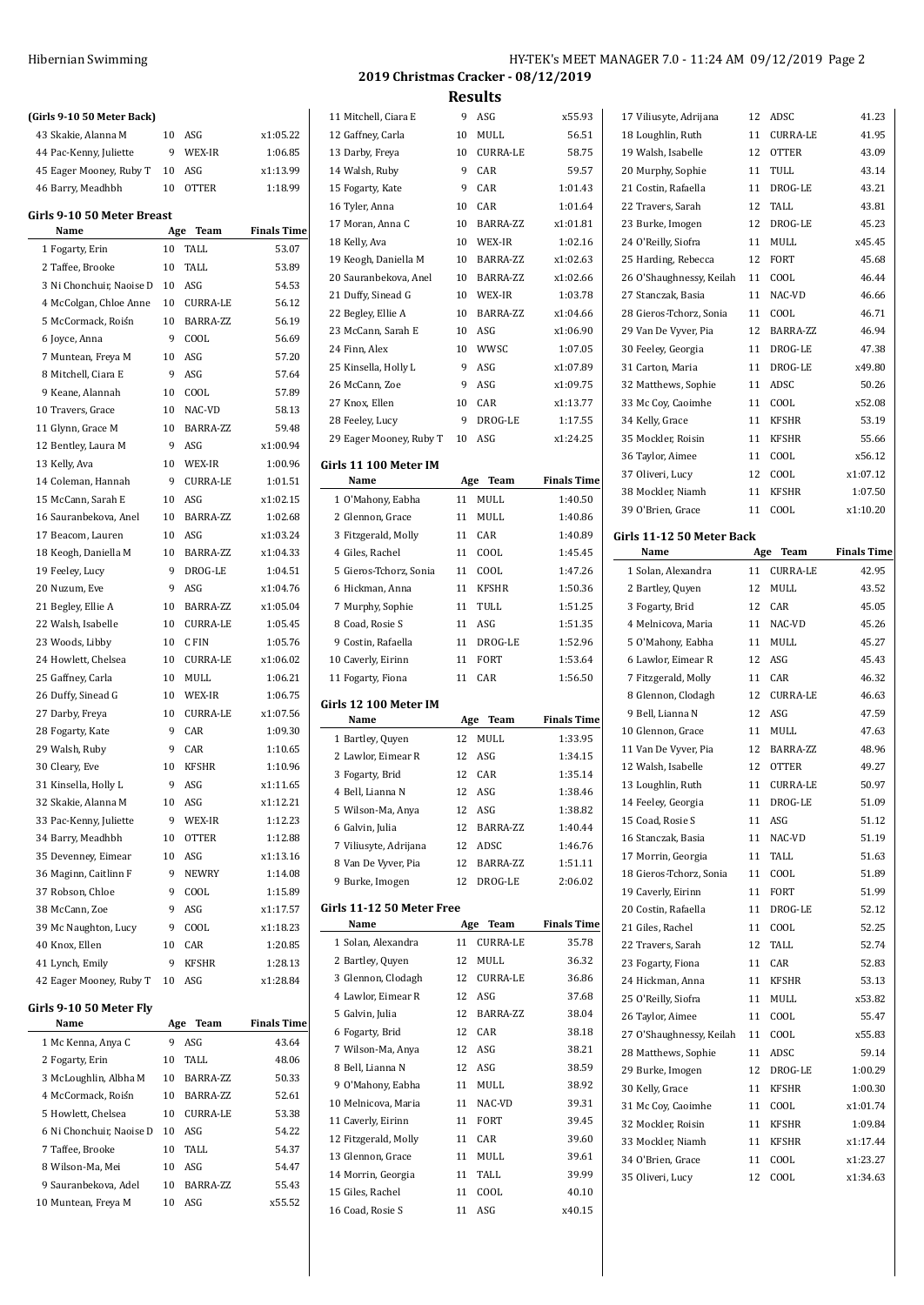## **(Girls 9-10 50 Meter Back)** Skakie, Alanna M 10 ASG x1:05.22 44 Pac-Kenny, Juliette 9 WEX-IR 1:06.85 Eager Mooney, Ruby T 10 ASG x1:13.99 Barry, Meadhbh 10 OTTER 1:18.99 **Girls 9-10 50 Meter Breast Name Age Team Finals Time** Fogarty, Erin 10 TALL 53.07 Taffee, Brooke 10 TALL 53.89 3 Ni Chonchuir, Naoise D 10 ASG 54.53 McColgan, Chloe Anne 10 CURRA-LE 56.12 McCormack, Roisín 10 BARRA-ZZ 56.19 Joyce, Anna 9 COOL 56.69 7 Muntean, Freya M 10 ASG 57.20 8 Mitchell, Ciara E 9 ASG 57.64 Keane, Alannah 10 COOL 57.89 10 Travers, Grace 10 NAC-VD 58.13 Glynn, Grace M 10 BARRA-ZZ 59.48 12 Bentley, Laura M 9 ASG x1:00.94 Kelly, Ava 10 WEX-IR 1:00.96 Coleman, Hannah 9 CURRA-LE 1:01.51 McCann, Sarah E 10 ASG x1:02.15 Sauranbekova, Anel 10 BARRA-ZZ 1:02.68 Beacom, Lauren 10 ASG x1:03.24 Keogh, Daniella M 10 BARRA-ZZ x1:04.33 Feeley, Lucy 9 DROG-LE 1:04.51 Nuzum, Eve 9 ASG x1:04.76 21 Begley, Ellie A 10 BARRA-ZZ x1:05.04 Walsh, Isabelle 10 CURRA-LE 1:05.45 23 Woods, Libby 10 C FIN 1:05.76 Howlett, Chelsea 10 CURRA-LE x1:06.02 Gaffney, Carla 10 MULL 1:06.21 26 Duffy, Sinead G 10 WEX-IR 1:06.75 27 Darby, Freya 10 CURRA-LE x1:07.56 28 Fogarty, Kate 9 CAR 1:09.30 29 Walsh, Ruby 9 CAR 1:10.65 30 Cleary, Eve 10 KFSHR 1:10.96 31 Kinsella, Holly L 9 ASG x1:11.65 Skakie, Alanna M 10 ASG x1:12.21 Pac-Kenny, Juliette 9 WEX-IR 1:12.23 Barry, Meadhbh 10 OTTER 1:12.88 Devenney, Eimear 10 ASG x1:13.16 36 Maginn, Caitlinn F 9 NEWRY 1:14.08 37 Robson, Chloe 9 COOL 1:15.89 McCann, Zoe 9 ASG x1:17.57 Mc Naughton, Lucy 9 COOL x1:18.23 Knox, Ellen 10 CAR 1:20.85 Lynch, Emily 9 KFSHR 1:28.13 Eager Mooney, Ruby T 10 ASG x1:28.84 **Girls 9-10 50 Meter Fly Name Age Team Finals Time** 1 Mc Kenna, Anya C 9 ASG 43.64

| I MC Reillid, Allyd C    |    | 7.71            | 49.04  |
|--------------------------|----|-----------------|--------|
| 2 Fogarty, Erin          | 10 | TALL.           | 48.06  |
| 3 McLoughlin, Albha M    | 10 | BARRA-ZZ        | 50.33  |
| 4 McCormack, Roiśn       | 10 | BARRA-ZZ        | 52.61  |
| 5 Howlett, Chelsea       | 10 | <b>CURRA-LE</b> | 53.38  |
| 6 Ni Chonchuir, Naoise D | 10 | ASG             | 54.22  |
| 7 Taffee, Brooke         | 10 | TALL.           | 54.37  |
| 8 Wilson-Ma. Mei         | 10 | ASG             | 54.47  |
| 9 Sauranbekova. Adel     | 10 | BARRA-ZZ        | 55.43  |
| 10 Muntean, Freya M      | 10 | ASG             | x55.52 |
|                          |    |                 |        |

### Hibernian Swimming **HY-TEK's MEET MANAGER 7.0 - 11:24 AM 09/12/2019** Page 2 **2019 Christmas Cracker - 08/12/2019**

l,

#### **Results**

| 11 Mitchell, Ciara E                 | 9        | ASG             | x55.93             |
|--------------------------------------|----------|-----------------|--------------------|
| 12 Gaffney, Carla                    | 10       | MULL            | 56.51              |
| 13 Darby, Freya                      | 10       | <b>CURRA-LE</b> | 58.75              |
| 14 Walsh, Ruby                       | 9        | CAR             | 59.57              |
| 15 Fogarty, Kate                     | 9        | CAR             | 1:01.43            |
| 16 Tyler, Anna                       | 10       | CAR             | 1:01.64            |
|                                      |          |                 |                    |
| 17 Moran, Anna C                     | 10       | BARRA-ZZ        | x1:01.81           |
| 18 Kelly, Ava                        | 10       | WEX-IR          | 1:02.16            |
| 19 Keogh, Daniella M                 | 10       | BARRA-ZZ        | x1:02.63           |
| 20 Sauranbekova, Anel                | 10       | BARRA-ZZ        | x1:02.66           |
| 21 Duffy, Sinead G                   | 10       | WEX-IR          | 1:03.78            |
| 22 Begley, Ellie A                   | 10       | BARRA-ZZ        | x1:04.66           |
| 23 McCann, Sarah E                   | 10       | ASG             | x1:06.90           |
| 24 Finn, Alex                        | 10       | <b>WWSC</b>     | 1:07.05            |
| 25 Kinsella, Holly L                 | 9        | ASG             | x1:07.89           |
| 26 McCann, Zoe                       | 9        | ASG             | x1:09.75           |
| 27 Knox, Ellen                       | 10       | CAR             | x1:13.77           |
| 28 Feeley, Lucy                      | 9        | DROG-LE         | 1:17.55            |
| 29 Eager Mooney, Ruby T              | 10       | ASG             | x1:24.25           |
| Girls 11 100 Meter IM                |          |                 |                    |
| Name                                 | Age      | Team            | <b>Finals Time</b> |
| 1 O'Mahony, Eabha                    | 11       | MULL            | 1:40.50            |
| 2 Glennon, Grace                     | 11       | MULL            | 1:40.86            |
| 3 Fitzgerald, Molly                  | 11       | CAR             | 1:40.89            |
| 4 Giles, Rachel                      | 11       | COOL            | 1:45.45            |
| 5 Gieros-Tchorz, Sonia               | 11       | COOL            | 1:47.26            |
| 6 Hickman, Anna                      | 11       | <b>KFSHR</b>    | 1:50.36            |
|                                      | 11       | TULL            | 1:51.25            |
| 7 Murphy, Sophie<br>8 Coad, Rosie S  | 11       | ASG             | 1:51.35            |
|                                      |          |                 |                    |
| 9 Costin, Rafaella                   | 11       | DROG-LE         | 1:52.96            |
| 10 Caverly, Eirinn                   | 11       | FORT            | 1:53.64            |
|                                      |          |                 |                    |
| 11 Fogarty, Fiona                    | 11       | CAR             | 1:56.50            |
|                                      |          |                 |                    |
| Girls 12 100 Meter IM<br>Name        | Age      | Team            | <b>Finals Time</b> |
| 1 Bartley, Quyen                     | 12       | MULL            | 1:33.95            |
| 2 Lawlor, Eimear R                   | 12       | ASG             | 1:34.15            |
| 3 Fogarty, Brid                      | 12       | CAR             | 1:35.14            |
| 4 Bell. Lianna N                     | 12       | ASG             | 1:38.46            |
| 5 Wilson-Ma, Anya                    | 12       | ASG             | 1:38.82            |
| 6 Galvin, Julia                      | 12       | BARRA-ZZ        | 1:40.44            |
| 7 Viliusyte, Adrijana                | 12       | ADSC            | 1:46.76            |
| 8 Van De Vyver, Pia                  | 12       | BARRA-ZZ        | 1:51.11            |
| 9 Burke, Imogen                      | 12       | DROG-LE         | 2:06.02            |
|                                      |          |                 |                    |
| Girls 11-12 50 Meter Free            |          |                 |                    |
| Name                                 | Age      | Team            | <b>Finals Time</b> |
| 1 Solan, Alexandra                   | 11       | <b>CURRA-LE</b> | 35.78              |
| 2 Bartley, Quyen                     | 12       | MULL            | 36.32              |
| 3 Glennon, Clodagh                   | 12       | <b>CURRA-LE</b> | 36.86              |
| 4 Lawlor, Eimear R                   | 12       | ASG             | 37.68              |
| 5 Galvin, Julia                      | 12       | BARRA-ZZ        | 38.04              |
| 6 Fogarty, Brid                      | 12       | CAR             | 38.18              |
| 7 Wilson-Ma, Anya                    | 12       | ASG             | 38.21              |
| 8 Bell, Lianna N                     | 12       | ASG             | 38.59              |
| 9 O'Mahony, Eabha                    | 11       | MULL            | 38.92              |
| 10 Melnicova, Maria                  | 11       | NAC-VD          | 39.31              |
| 11 Caverly, Eirinn                   | 11       | <b>FORT</b>     | 39.45              |
| 12 Fitzgerald, Molly                 | 11       | CAR             | 39.60              |
| 13 Glennon, Grace                    | 11       | MULL            | 39.61              |
| 14 Morrin, Georgia                   | 11       | TALL            | 39.99              |
| 15 Giles, Rachel<br>16 Coad, Rosie S | 11<br>11 | COOL<br>ASG     | 40.10<br>x40.15    |

| 17 VIIIusyte, Aurijana                | ᅭ        | ndu             | ل ۱۰۰۵               |
|---------------------------------------|----------|-----------------|----------------------|
| 18 Loughlin, Ruth                     | 11       | <b>CURRA-LE</b> | 41.95                |
| 19 Walsh, Isabelle                    | 12       | <b>OTTER</b>    | 43.09                |
| 20 Murphy, Sophie                     | 11       | TULL            | 43.14                |
| 21 Costin, Rafaella                   | 11       | DROG-LE         | 43.21                |
| 22 Travers, Sarah                     | 12       | TALL            | 43.81                |
| 23 Burke, Imogen                      | 12       | DROG-LE         | 45.23                |
| 24 O'Reilly, Siofra                   | 11       | MULL            | x45.45               |
|                                       |          |                 |                      |
| 25 Harding, Rebecca                   | 12       | <b>FORT</b>     | 45.68                |
| 26 O'Shaughnessy, Keilah              | 11       | COOL            | 46.44                |
| 27 Stanczak, Basia                    | 11       | NAC-VD          | 46.66                |
| 28 Gieros-Tchorz, Sonia               | 11       | COOL            | 46.71                |
| 29 Van De Vyver, Pia                  | 12       | BARRA-ZZ        | 46.94                |
| 30 Feeley, Georgia                    | 11       | DROG-LE         | 47.38                |
| 31 Carton, Maria                      | 11       | DROG-LE         | x49.80               |
| 32 Matthews, Sophie                   | 11       | ADSC            | 50.26                |
| 33 Mc Coy, Caoimhe                    | 11       | COOL            | x52.08               |
| 34 Kelly, Grace                       | 11       | <b>KFSHR</b>    | 53.19                |
| 35 Mockler, Roisin                    | 11       | <b>KFSHR</b>    | 55.66                |
| 36 Taylor, Aimee                      | 11       | COOL            | x56.12               |
| 37 Oliveri, Lucy                      | 12       | COOL            | x1:07.12             |
| 38 Mockler, Niamh                     | 11       | <b>KFSHR</b>    | 1:07.50              |
| 39 O'Brien, Grace                     | 11       | COOL            | x1:10.20             |
|                                       |          |                 |                      |
| Girls 11-12 50 Meter Back             |          |                 |                      |
| Name                                  | Age      | Team            | <b>Finals Time</b>   |
| 1 Solan, Alexandra                    | 11       | CURRA-LE        | 42.95                |
| 2 Bartley, Quyen                      | 12       | MULL            | 43.52                |
| 3 Fogarty, Brid                       | 12       | CAR             | 45.05                |
| 4 Melnicova, Maria                    | 11       | NAC-VD          | 45.26                |
|                                       |          |                 |                      |
| 5 O'Mahony, Eabha                     | 11       | MULL            | 45.27                |
| 6 Lawlor, Eimear R                    | 12       | ASG             | 45.43                |
| 7 Fitzgerald, Molly                   | 11       | CAR             | 46.32                |
| 8 Glennon, Clodagh                    | 12       | <b>CURRA-LE</b> | 46.63                |
| 9 Bell, Lianna N                      | 12       | ASG             | 47.59                |
| 10 Glennon, Grace                     | 11       | MULL            | 47.63                |
| 11 Van De Vyver, Pia                  | 12       | BARRA-ZZ        | 48.96                |
|                                       | 12       |                 |                      |
| 12 Walsh, Isabelle                    |          | <b>OTTER</b>    | 49.27                |
| 13 Loughlin, Ruth                     | 11       | CURRA-LE        | 50.97                |
| 14 Feeley, Georgia                    | 11       | DROG-LE         | 51.09                |
| 15 Coad, Rosie S                      | 11       | ASG             | 51.12                |
| 16 Stanczak, Basia                    | 11       | NAC-VD          | 51.19                |
| 17 Morrin, Georgia                    | 11       | TALL            | 51.63                |
| 18 Gieros-Tchorz, Sonia               | 11       | COOL            | 51.89                |
| 19 Caverly, Eirinn                    | 11       | <b>FORT</b>     | 51.99                |
| 20 Costin, Rafaella                   | 11       | DROG-LE         | 52.12                |
| 21 Giles, Rachel                      | 11       | COOL            | 52.25                |
| 22 Travers, Sarah                     | 12       | TALL            | 52.74                |
| 23 Fogarty, Fiona                     | 11       | CAR             | 52.83                |
| 24 Hickman, Anna                      | 11       | <b>KFSHR</b>    | 53.13                |
| 25 O'Reilly, Siofra                   | 11       | MULL            | x53.82               |
| 26 Taylor, Aimee                      | 11       | COOL            | 55.47                |
| 27 O'Shaughnessy, Keilah              | 11       | COOL            | x55.83               |
| 28 Matthews, Sophie                   | 11       | ADSC            | 59.14                |
| 29 Burke, Imogen                      | 12       | DROG-LE         | 1:00.29              |
| 30 Kelly, Grace                       | 11       | <b>KFSHR</b>    | 1:00.30              |
| 31 Mc Coy, Caoimhe                    | 11       | COOL            | x1:01.74             |
| 32 Mockler, Roisin                    | 11       | <b>KFSHR</b>    | 1:09.84              |
|                                       | 11       |                 |                      |
| 33 Mockler, Niamh                     |          | <b>KFSHR</b>    | x1:17.44             |
| 34 O'Brien, Grace<br>35 Oliveri, Lucy | 11<br>12 | COOL<br>COOL    | x1:23.27<br>x1:34.63 |

Viliusyte, Adrijana 12 ADSC 41.23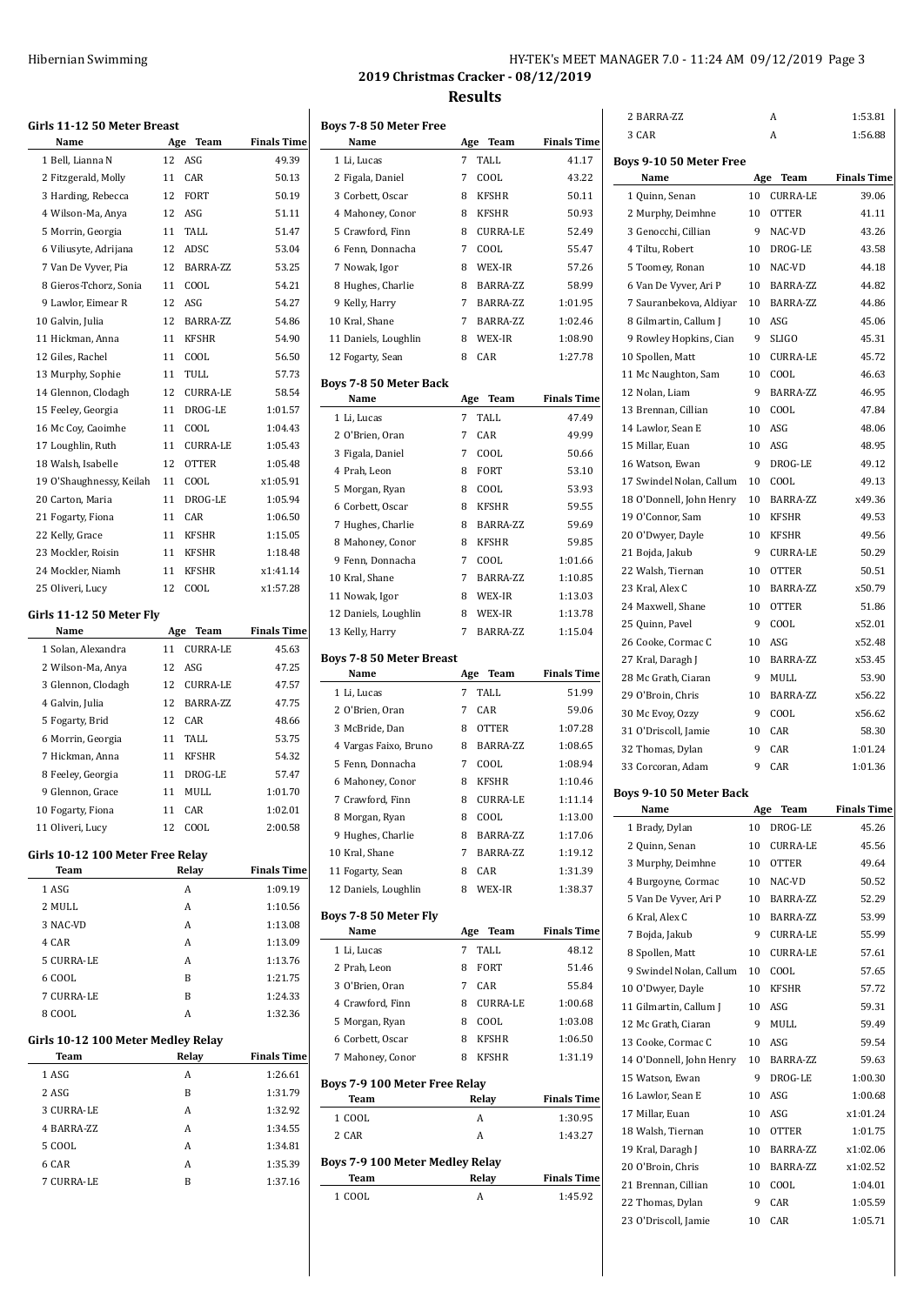|                                     | HY-TEK's MEET MANAGER 7.0 - 11:24 AM 09/12/2019 Page 3 |  |
|-------------------------------------|--------------------------------------------------------|--|
| 2019 Christmas Cracker - 08/12/2019 |                                                        |  |
|                                     |                                                        |  |

**Results**

|                                          |             |                    |                                 |                     |                    | 2 BARRA-ZZ                     |    | A               | 1:53.81            |
|------------------------------------------|-------------|--------------------|---------------------------------|---------------------|--------------------|--------------------------------|----|-----------------|--------------------|
| Girls 11-12 50 Meter Breast<br>Name      | Age Team    | <b>Finals Time</b> | Boys 7-8 50 Meter Free<br>Name  | Age Team            | <b>Finals Time</b> | 3 CAR                          |    | A               | 1:56.88            |
| 1 Bell, Lianna N                         | 12 ASG      | 49.39              | 1 Li, Lucas                     | 7 TALL              | 41.17              | Boys 9-10 50 Meter Free        |    |                 |                    |
| 2 Fitzgerald, Molly                      | 11 CAR      | 50.13              | 2 Figala, Daniel                | COOL<br>$7^{\circ}$ | 43.22              | Name                           |    | Age Team        | <b>Finals Time</b> |
| 3 Harding, Rebecca                       | 12 FORT     | 50.19              | 3 Corbett, Oscar                | <b>KFSHR</b><br>8   | 50.11              | 1 Quinn, Senan                 |    | 10 CURRA-LE     | 39.06              |
| 4 Wilson-Ma, Anya                        | 12 ASG      | 51.11              | 4 Mahoney, Conor                | 8 KFSHR             | 50.93              | 2 Murphy, Deimhne              | 10 | OTTER           | 41.11              |
| 5 Morrin, Georgia                        | 11 TALL     | 51.47              | 5 Crawford, Finn                | 8 CURRA-LE          | 52.49              | 3 Genocchi, Cillian            | 9  | NAC-VD          | 43.26              |
| 6 Viliusyte, Adrijana                    | 12 ADSC     | 53.04              | 6 Fenn, Donnacha                | 7 COOL              | 55.47              | 4 Tiltu, Robert                | 10 | DROG-LE         | 43.58              |
| 7 Van De Vyver, Pia                      | 12 BARRA-ZZ | 53.25              | 7 Nowak, Igor                   | 8 WEX-IR            | 57.26              | 5 Toomey, Ronan                |    | 10 NAC-VD       | 44.18              |
| 8 Gieros-Tchorz, Sonia                   | 11 COOL     | 54.21              | 8 Hughes, Charlie               | 8 BARRA-ZZ          | 58.99              | 6 Van De Vyver, Ari P          | 10 | BARRA-ZZ        | 44.82              |
| 9 Lawlor, Eimear R                       | 12 ASG      | 54.27              | 9 Kelly, Harry                  | 7 BARRA-ZZ          | 1:01.95            | 7 Sauranbekova, Aldiyar        | 10 | BARRA-ZZ        | 44.86              |
| 10 Galvin, Julia                         | 12 BARRA-ZZ | 54.86              | 10 Kral, Shane                  | 7 BARRA-ZZ          | 1:02.46            | 8 Gilmartin, Callum J          |    | 10 ASG          | 45.06              |
| 11 Hickman, Anna                         | 11 KFSHR    | 54.90              | 11 Daniels, Loughlin            | WEX-IR<br>8         | 1:08.90            | 9 Rowley Hopkins, Cian         |    | 9 SLIGO         | 45.31              |
| 12 Giles, Rachel                         | 11 COOL     | 56.50              | 12 Fogarty, Sean                | 8 CAR               | 1:27.78            | 10 Spollen, Matt               | 10 | <b>CURRA-LE</b> | 45.72              |
| 13 Murphy, Sophie                        | 11 TULL     | 57.73              |                                 |                     |                    | 11 Mc Naughton, Sam            | 10 | COOL            | 46.63              |
| 14 Glennon, Clodagh                      | 12 CURRA-LE | 58.54              | Boys 7-8 50 Meter Back          |                     |                    | 12 Nolan, Liam                 | 9  | BARRA-ZZ        | 46.95              |
| 15 Feeley, Georgia                       | 11 DROG-LE  | 1:01.57            | Name                            | Age Team            | <b>Finals Time</b> | 13 Brennan, Cillian            | 10 | COOL            | 47.84              |
| 16 Mc Coy, Caoimhe                       | 11 COOL     | 1:04.43            | 1 Li, Lucas                     | 7 TALL              | 47.49              | 14 Lawlor, Sean E              | 10 | ASG             | 48.06              |
| 17 Loughlin, Ruth                        | 11 CURRA-LE | 1:05.43            | 2 O'Brien. Oran                 | 7 CAR               | 49.99              | 15 Millar, Euan                | 10 | ASG             | 48.95              |
| 18 Walsh, Isabelle                       | 12 OTTER    | 1:05.48            | 3 Figala, Daniel                | 7 COOL              | 50.66              | 16 Watson, Ewan                | 9  | DROG-LE         | 49.12              |
| 19 O'Shaughnessy, Keilah                 | 11 COOL     | x1:05.91           | 4 Prah, Leon                    | 8 FORT              | 53.10              | 17 Swindel Nolan, Callum       |    | 10 COOL         | 49.13              |
| 20 Carton, Maria                         | 11 DROG-LE  | 1:05.94            | 5 Morgan, Ryan                  | 8 COOL              | 53.93              | 18 O'Donnell, John Henry       |    | 10 BARRA-ZZ     | x49.36             |
| 21 Fogarty, Fiona                        | 11 CAR      | 1:06.50            | 6 Corbett, Oscar                | 8 KFSHR             | 59.55              | 19 O'Connor, Sam               | 10 | <b>KFSHR</b>    | 49.53              |
| 22 Kelly, Grace                          | 11 KFSHR    | 1:15.05            | 7 Hughes, Charlie               | BARRA-ZZ<br>8       | 59.69              | 20 O'Dwyer, Dayle              |    | 10 KFSHR        | 49.56              |
| 23 Mockler, Roisin                       | 11 KFSHR    | 1:18.48            | 8 Mahoney, Conor                | 8 KFSHR             | 59.85              | 21 Bojda, Jakub                | 9  | <b>CURRA-LE</b> | 50.29              |
| 24 Mockler, Niamh                        | 11 KFSHR    | x1:41.14           | 9 Fenn, Donnacha                | COOL<br>7           | 1:01.66            | 22 Walsh, Tiernan              | 10 | <b>OTTER</b>    | 50.51              |
| 25 Oliveri, Lucy                         | 12 COOL     | x1:57.28           | 10 Kral, Shane                  | BARRA-ZZ<br>7       | 1:10.85            | 23 Kral, Alex C                | 10 | BARRA-ZZ        | x50.79             |
|                                          |             |                    | 11 Nowak, Igor                  | 8<br>WEX-IR         | 1:13.03            | 24 Maxwell, Shane              | 10 | <b>OTTER</b>    | 51.86              |
| Girls 11-12 50 Meter Fly                 |             |                    | 12 Daniels, Loughlin            | WEX-IR<br>8         | 1:13.78            | 25 Quinn, Pavel                | 9  | COOL            | x52.01             |
| Name                                     | Age Team    | <b>Finals Time</b> | 13 Kelly, Harry                 | 7 BARRA-ZZ          | 1:15.04            | 26 Cooke, Cormac C             | 10 | ASG             | x52.48             |
| 1 Solan, Alexandra                       | 11 CURRA-LE | 45.63              | <b>Boys 7-8 50 Meter Breast</b> |                     |                    | 27 Kral, Daragh J              | 10 | BARRA-ZZ        | x53.45             |
| 2 Wilson-Ma, Anya                        | 12 ASG      | 47.25              | Name                            | Age Team            | <b>Finals Time</b> | 28 Mc Grath, Ciaran            | 9  | MULL            | 53.90              |
| 3 Glennon, Clodagh                       | 12 CURRA-LE | 47.57              | 1 Li, Lucas                     | 7 TALL              | 51.99              | 29 O'Broin, Chris              | 10 | BARRA-ZZ        | x56.22             |
| 4 Galvin, Julia                          | 12 BARRA-ZZ | 47.75              | 2 O'Brien, Oran                 | 7 CAR               | 59.06              |                                | 9  | COOL            |                    |
| 5 Fogarty, Brid                          | 12 CAR      | 48.66              | 3 McBride, Dan                  | 8 OTTER             | 1:07.28            | 30 Mc Evoy, Ozzy               |    |                 | x56.62             |
| 6 Morrin, Georgia                        | 11 TALL     | 53.75              | 4 Vargas Faixo, Bruno           | 8 BARRA-ZZ          | 1:08.65            | 31 O'Driscoll, Jamie           | 10 | CAR             | 58.30              |
| 7 Hickman, Anna                          | 11 KFSHR    | 54.32              | 5 Fenn, Donnacha                | 7 COOL              | 1:08.94            | 32 Thomas, Dylan               | 9  | CAR             | 1:01.24            |
| 8 Feeley, Georgia                        | 11 DROG-LE  | 57.47              | 6 Mahoney, Conor                | 8 KFSHR             | 1:10.46            | 33 Corcoran, Adam              | 9  | CAR             | 1:01.36            |
| 9 Glennon, Grace                         | 11 MULL     | 1:01.70            | 7 Crawford, Finn                | 8 CURRA-LE          | 1:11.14            | <b>Boys 9-10 50 Meter Back</b> |    |                 |                    |
| 10 Fogarty, Fiona                        | 11 CAR      | 1:02.01            | 8 Morgan, Ryan                  | 8 COOL              | 1:13.00            | Name                           |    | Age Team        | <b>Finals Time</b> |
| 11 Oliveri, Lucy                         | 12 COOL     | 2:00.58            | 9 Hughes, Charlie               | 8 BARRA-ZZ          | 1:17.06            | 1 Brady, Dylan                 |    | 10 DROG-LE      | 45.26              |
|                                          |             |                    | 10 Kral, Shane                  | 7 BARRA-ZZ          | 1:19.12            | 2 Quinn, Senan                 | 10 | <b>CURRA-LE</b> | 45.56              |
| Girls 10-12 100 Meter Free Relay<br>Team | Relay       | <b>Finals Time</b> |                                 |                     |                    | 3 Murphy, Deimhne              | 10 | <b>OTTER</b>    | 49.64              |
|                                          |             |                    | 11 Fogarty, Sean                | 8 CAR               | 1:31.39            | 4 Burgoyne, Cormac             |    | 10 NAC-VD       | 50.52              |
| 1 ASG                                    | A           | 1:09.19            | 12 Daniels, Loughlin            | 8 WEX-IR            | 1:38.37            | 5 Van De Vyver, Ari P          | 10 | BARRA-ZZ        | 52.29              |
| 2 MULL                                   | A           | 1:10.56            | Boys 7-8 50 Meter Fly           |                     |                    | 6 Kral, Alex C                 | 10 | BARRA-ZZ        | 53.99              |
| 3 NAC-VD                                 | A           | 1:13.08            | Name                            | Age Team            | <b>Finals Time</b> | 7 Bojda, Jakub                 | 9  | CURRA-LE        | 55.99              |
| 4 CAR                                    | A           | 1:13.09            | 1 Li, Lucas                     | 7 TALL              | 48.12              | 8 Spollen, Matt                | 10 | <b>CURRA-LE</b> | 57.61              |
| 5 CURRA-LE                               | A           | 1:13.76            | 2 Prah, Leon                    | 8 FORT              | 51.46              | 9 Swindel Nolan, Callum        | 10 | COOL            | 57.65              |
| 6 COOL                                   | B           | 1:21.75            | 3 O'Brien, Oran                 | 7 CAR               | 55.84              | 10 O'Dwyer, Dayle              |    | 10 KFSHR        | 57.72              |
| 7 CURRA-LE                               | B           | 1:24.33            | 4 Crawford, Finn                | 8 CURRA-LE          | 1:00.68            | 11 Gilmartin, Callum J         |    | 10 ASG          | 59.31              |
| 8 COOL                                   | A           | 1:32.36            | 5 Morgan, Ryan                  | 8 COOL              | 1:03.08            | 12 Mc Grath, Ciaran            | 9  | MULL            | 59.49              |
| Girls 10-12 100 Meter Medley Relay       |             |                    | 6 Corbett, Oscar                | 8 KFSHR             | 1:06.50            | 13 Cooke, Cormac C             | 10 | ASG             | 59.54              |
| Team                                     | Relay       | <b>Finals Time</b> | 7 Mahoney, Conor                | 8 KFSHR             | 1:31.19            | 14 O'Donnell, John Henry       | 10 | BARRA-ZZ        | 59.63              |
| 1 ASG                                    | A           | 1:26.61            |                                 |                     |                    | 15 Watson, Ewan                | 9  | DROG-LE         | 1:00.30            |
| 2 ASG                                    | B           | 1:31.79            | Boys 7-9 100 Meter Free Relay   |                     |                    | 16 Lawlor, Sean E              |    | 10 ASG          | 1:00.68            |
| 3 CURRA-LE                               | A           | 1:32.92            | Team                            | Relay               | <b>Finals Time</b> | 17 Millar, Euan                |    | 10 ASG          | x1:01.24           |
| 4 BARRA-ZZ                               | A           | 1:34.55            | 1 COOL                          | A                   | 1:30.95            | 18 Walsh, Tiernan              | 10 | <b>OTTER</b>    | 1:01.75            |
| 5 COOL                                   | A           | 1:34.81            | 2 CAR                           | A                   | 1:43.27            | 19 Kral, Daragh J              |    | 10 BARRA-ZZ     | x1:02.06           |
| 6 CAR                                    | A           | 1:35.39            | Boys 7-9 100 Meter Medley Relay |                     |                    | 20 O'Broin, Chris              | 10 | BARRA-ZZ        |                    |
| 7 CURRA-LE                               | B           | 1:37.16            | Team                            | Relay               | <b>Finals Time</b> |                                |    |                 | x1:02.52           |
|                                          |             |                    | 1 COOL                          | A                   | 1:45.92            | 21 Brennan, Cillian            | 10 | COOL            | 1:04.01            |
|                                          |             |                    |                                 |                     |                    | 22 Thomas, Dylan               | 9  | CAR             | 1:05.59            |
|                                          |             |                    |                                 |                     |                    | 23 O'Driscoll, Jamie           |    | 10 CAR          | 1:05.71            |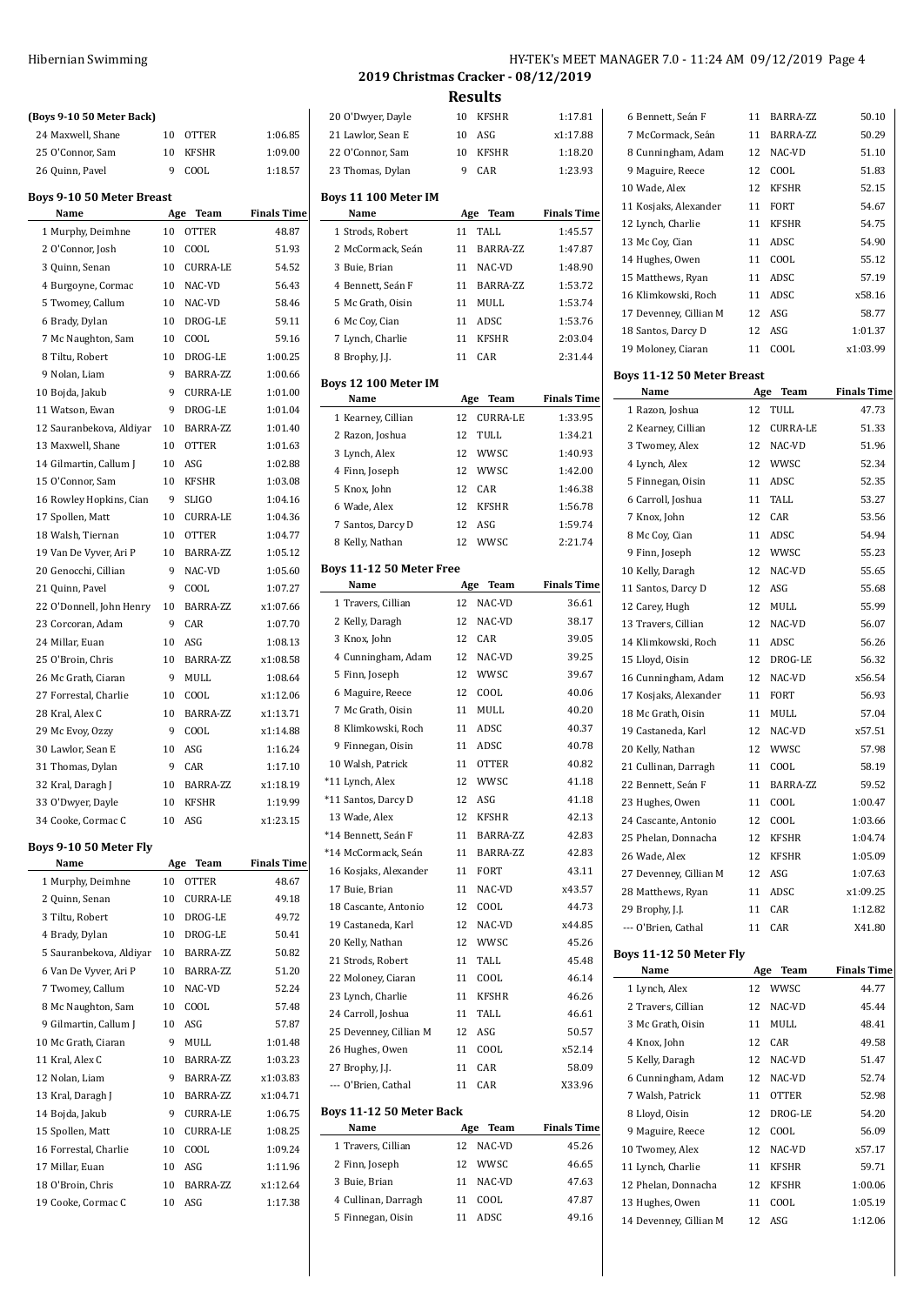# **(Boys 9-10 50 Meter Back)**

| (Boys 9-10 50 Meter Back)        |     |                 |                    |
|----------------------------------|-----|-----------------|--------------------|
| 24 Maxwell, Shane                | 10  | <b>OTTER</b>    | 1:06.85            |
| 25 O'Connor, Sam                 | 10  | KFSHR           | 1:09.00            |
| 26 Quinn, Pavel                  | 9   | COOL            | 1:18.57            |
| <b>Boys 9-10 50 Meter Breast</b> |     |                 |                    |
| Name                             | Age | Team            | <b>Finals Time</b> |
| 1 Murphy, Deimhne                | 10  | <b>OTTER</b>    | 48.87              |
| 2 O'Connor, Josh                 | 10  | COOL            | 51.93              |
| 3 Quinn, Senan                   | 10  | <b>CURRA-LE</b> | 54.52              |
| 4 Burgoyne, Cormac               | 10  | NAC-VD          | 56.43              |
| 5 Twomey, Callum                 | 10  | NAC-VD          | 58.46              |
| 6 Brady, Dylan                   | 10  | DROG-LE         | 59.11              |
| 7 Mc Naughton, Sam               | 10  | COOL            | 59.16              |
| 8 Tiltu, Robert                  | 10  | DROG-LE         | 1:00.25            |
| 9 Nolan, Liam                    | 9   | BARRA-ZZ        | 1:00.66            |
| 10 Bojda, Jakub                  | 9   | <b>CURRA-LE</b> | 1:01.00            |
| 11 Watson, Ewan                  | 9   | DROG-LE         | 1:01.04            |
| 12 Sauranbekova, Aldiyar         | 10  | BARRA-ZZ        | 1:01.40            |
| 13 Maxwell, Shane                | 10  | <b>OTTER</b>    | 1:01.63            |
| 14 Gilmartin, Callum J           | 10  | ASG             | 1:02.88            |
| 15 O'Connor, Sam                 | 10  | <b>KFSHR</b>    | 1:03.08            |
| 16 Rowley Hopkins, Cian          | 9   | <b>SLIGO</b>    | 1:04.16            |
| 17 Spollen, Matt                 | 10  | <b>CURRA-LE</b> | 1:04.36            |
| 18 Walsh, Tiernan                | 10  | <b>OTTER</b>    | 1:04.77            |
| 19 Van De Vyver, Ari P           | 10  | BARRA-ZZ        | 1:05.12            |
| 20 Genocchi, Cillian             | 9   | NAC-VD          | 1:05.60            |
| 21 Quinn, Pavel                  | 9   | COOL            | 1:07.27            |
| 22 O'Donnell, John Henry         | 10  | <b>BARRA-ZZ</b> | x1:07.66           |
| 23 Corcoran, Adam                | 9   | CAR             | 1:07.70            |
| 24 Millar, Euan                  | 10  | ASG             | 1:08.13            |
| 25 O'Broin, Chris                | 10  | BARRA-ZZ        | x1:08.58           |
| 26 Mc Grath, Ciaran              | 9   | <b>MULL</b>     | 1:08.64            |
| 27 Forrestal, Charlie            | 10  | COOL            | x1:12.06           |
| 28 Kral, Alex C                  | 10  | <b>BARRA-ZZ</b> | x1:13.71           |
| 29 Mc Evoy, Ozzy                 | 9   | COOL            | x1:14.88           |
| 30 Lawlor, Sean E                | 10  | ASG             | 1:16.24            |
| 31 Thomas, Dylan                 | 9   | CAR             | 1:17.10            |
| 32 Kral, Daragh J                | 10  | BARRA-ZZ        | x1:18.19           |
| 33 O'Dwyer, Dayle                | 10  | <b>KFSHR</b>    | 1:19.99            |
| 34 Cooke, Cormac C               | 10  | ASG             | x1:23.15           |
| Boys 9-10 50 Meter Fly           |     |                 |                    |
| Name                             | Age | Team            | <b>Finals Time</b> |
| 1 Murphy, Deimhne                | 10  | <b>OTTER</b>    | 48.67              |
|                                  |     |                 |                    |

|                         | o  |                 |          |
|-------------------------|----|-----------------|----------|
| 1 Murphy, Deimhne       | 10 | <b>OTTER</b>    | 48.67    |
| 2 Quinn, Senan          | 10 | <b>CURRA-LE</b> | 49.18    |
| 3 Tiltu, Robert         | 10 | DROG-LE         | 49.72    |
| 4 Brady, Dylan          | 10 | DROG-LE         | 50.41    |
| 5 Sauranbekova, Aldiyar | 10 | BARRA-ZZ        | 50.82    |
| 6 Van De Vyver, Ari P   | 10 | BARRA-ZZ        | 51.20    |
| 7 Twomey, Callum        | 10 | NAC-VD          | 52.24    |
| 8 Mc Naughton, Sam      | 10 | COOL            | 57.48    |
| 9 Gilmartin, Callum J   | 10 | ASG             | 57.87    |
| 10 Mc Grath, Ciaran     | 9  | MULL            | 1:01.48  |
| 11 Kral, Alex C         | 10 | BARRA-ZZ        | 1:03.23  |
| 12 Nolan, Liam          | 9  | <b>BARRA-ZZ</b> | x1:03.83 |
| 13 Kral, Daragh J       | 10 | BARRA-ZZ        | x1:04.71 |
| 14 Bojda, Jakub         | 9  | <b>CURRA-LE</b> | 1:06.75  |
| 15 Spollen, Matt        | 10 | <b>CURRA-LE</b> | 1:08.25  |
| 16 Forrestal, Charlie   | 10 | COOL            | 1:09.24  |
| 17 Millar, Euan         | 10 | ASG             | 1:11.96  |
| 18 O'Broin, Chris       | 10 | BARRA-ZZ        | x1:12.64 |
| 19 Cooke, Cormac C      | 10 | ASG             | 1:17.38  |

## HY-TEK's MEET MANAGER 7.0 - 11:24 AM 09/12/2019 Page 4 **2019 Christmas Cracker - 08/12/2019**

**Results**

| 20 O'Dwyer, Dayle            | 10  | <b>KFSHR</b>    | 1:17.81            |
|------------------------------|-----|-----------------|--------------------|
| 21 Lawlor, Sean E            | 10  | ASG             | x1:17.88           |
| 22 O'Connor, Sam             | 10  | <b>KFSHR</b>    | 1:18.20            |
| 23 Thomas, Dylan             | 9   | CAR             | 1:23.93            |
| Boys 11 100 Meter IM         |     |                 |                    |
| Name                         |     | Age Team        | <b>Finals Time</b> |
| 1 Strods, Robert             | 11  | TALL            | 1:45.57            |
| 2 McCormack, Seán            | 11  | BARRA-ZZ        | 1:47.87            |
| 3 Buie, Brian                | 11  | NAC-VD          | 1:48.90            |
| 4 Bennett, Seán F            | 11  | BARRA-ZZ        | 1:53.72            |
| 5 Mc Grath, Oisin            | 11  | MULL            | 1:53.74            |
| 6 Mc Coy, Cian               | 11  | ADSC            | 1:53.76            |
| 7 Lynch, Charlie             | 11  | <b>KFSHR</b>    | 2:03.04            |
| 8 Brophy, J.J.               | 11  | CAR             | 2:31.44            |
|                              |     |                 |                    |
| Boys 12 100 Meter IM<br>Name |     | Age<br>Team     | <b>Finals Time</b> |
|                              |     |                 |                    |
| 1 Kearney, Cillian           | 12  | <b>CURRA-LE</b> | 1:33.95            |
| 2 Razon, Joshua              | 12  | TULL            | 1:34.21            |
| 3 Lynch, Alex                | 12  | <b>WWSC</b>     | 1:40.93            |
| 4 Finn, Joseph               | 12  | <b>WWSC</b>     | 1:42.00            |
| 5 Knox, John                 | 12  | CAR             | 1:46.38            |
| 6 Wade, Alex                 | 12  | <b>KFSHR</b>    | 1:56.78            |
| 7 Santos, Darcy D            | 12  | ASG             | 1:59.74            |
| 8 Kelly, Nathan              | 12  | <b>WWSC</b>     | 2:21.74            |
| Boys 11-12 50 Meter Free     |     |                 |                    |
| Name                         | Age | Team            | <b>Finals Time</b> |
| 1 Travers, Cillian           | 12  | NAC-VD          | 36.61              |
| 2 Kelly, Daragh              | 12  | NAC-VD          | 38.17              |
| 3 Knox, John                 | 12  | CAR             | 39.05              |
| 4 Cunningham, Adam           | 12  | NAC-VD          | 39.25              |
| 5 Finn, Joseph               | 12  | <b>WWSC</b>     | 39.67              |
| 6 Maguire, Reece             | 12  | COOL            | 40.06              |
| 7 Mc Grath, Oisin            | 11  | MULL            | 40.20              |
| 8 Klimkowski, Roch           | 11  | ADSC            | 40.37              |
| 9 Finnegan, Oisin            | 11  | ADSC            | 40.78              |
| 10 Walsh, Patrick            | 11  | <b>OTTER</b>    | 40.82              |
| *11 Lynch, Alex              | 12  | <b>WWSC</b>     | 41.18              |
| *11 Santos, Darcy D          | 12  | ASG             | 41.18              |
| 13 Wade, Alex                | 12  | <b>KFSHR</b>    | 42.13              |
| *14 Bennett, Seán F          | 11  | BARRA-ZZ        | 42.83              |
| *14 McCormack, Seán          | 11  | BARRA-ZZ        | 42.83              |
| 16 Kosjaks, Alexander        | 11  | <b>FORT</b>     | 43.11              |
| 17 Buie, Brian               | 11  | NAC-VD          | x43.57             |
| 18 Cascante, Antonio         | 12  | COOL            | 44.73              |
| 19 Castaneda, Karl           | 12  | NAC-VD          | x44.85             |
| 20 Kelly, Nathan             | 12  | wwsc            | 45.26              |
| 21 Strods, Robert            | 11  | TALL            | 45.48              |
| 22 Moloney, Ciaran           | 11  | COOL            | 46.14              |
| 23 Lynch, Charlie            | 11  | <b>KFSHR</b>    | 46.26              |
| 24 Carroll, Joshua           | 11  | TALL            | 46.61              |
| 25 Devenney, Cillian M       | 12  | ASG             | 50.57              |
| 26 Hughes, Owen              | 11  | COOL            | x52.14             |
| 27 Brophy, J.J.              | 11  | CAR             | 58.09              |
| --- O'Brien, Cathal          | 11  | CAR             | X33.96             |
| Boys 11-12 50 Meter Back     |     |                 |                    |
| Name                         | Age | <b>Team</b>     | <b>Finals Time</b> |
| 1 Travers, Cillian           | 12  | NAC-VD          | 45.26              |
| 2 Finn, Joseph               | 12  | <b>WWSC</b>     | 46.65              |
| 3 Buie, Brian                | 11  | NAC-VD          | 47.63              |
| 4 Cullinan, Darragh          | 11  | COOL            | 47.87              |
| 5 Finnegan, Oisin            | 11  | ADSC            | 49.16              |
|                              |     |                 |                    |

| 6 Bennett, Seán F                         | 11       | BARRA-ZZ        | 50.10              |
|-------------------------------------------|----------|-----------------|--------------------|
| 7 McCormack, Seán                         | 11       | BARRA-ZZ        | 50.29              |
| 8 Cunningham, Adam                        | 12       | NAC-VD          | 51.10              |
| 9 Maguire, Reece                          | 12       | COOL            | 51.83              |
| 10 Wade, Alex                             | 12       | <b>KFSHR</b>    | 52.15              |
| 11 Kosjaks, Alexander                     | 11       | <b>FORT</b>     | 54.67              |
| 12 Lynch, Charlie                         | 11       | <b>KFSHR</b>    | 54.75              |
| 13 Mc Coy, Cian                           | 11       | ADSC            | 54.90              |
| 14 Hughes, Owen                           | 11       | COOL            | 55.12              |
| 15 Matthews, Ryan                         | 11       | ADSC            | 57.19              |
| 16 Klimkowski, Roch                       | 11       | ADSC            | x58.16             |
| 17 Devenney, Cillian M                    | 12       | ASG             | 58.77              |
| 18 Santos, Darcy D                        | 12       | ASG             | 1:01.37            |
| 19 Moloney, Ciaran                        | 11       | COOL            | x1:03.99           |
|                                           |          |                 |                    |
| <b>Boys 11-12 50 Meter Breast</b>         |          |                 |                    |
| Name                                      | Age      | Team            | <b>Finals Time</b> |
| 1 Razon, Joshua                           | 12       | <b>TULL</b>     | 47.73              |
| 2 Kearney, Cillian                        | 12       | <b>CURRA-LE</b> | 51.33              |
| 3 Twomey, Alex                            | 12       | NAC-VD          | 51.96              |
| 4 Lynch, Alex                             | 12       | WWSC            | 52.34              |
| 5 Finnegan, Oisin                         | 11       | <b>ADSC</b>     | 52.35              |
| 6 Carroll, Joshua                         | 11       | <b>TALL</b>     | 53.27              |
| 7 Knox, John                              | 12       | CAR             | 53.56              |
| 8 Mc Coy, Cian                            | 11       | ADSC            | 54.94              |
| 9 Finn, Joseph                            | 12       | <b>WWSC</b>     | 55.23              |
| 10 Kelly, Daragh                          | 12       | NAC-VD          | 55.65              |
| 11 Santos, Darcy D                        | 12       | ASG             | 55.68              |
| 12 Carey, Hugh                            | 12       | MULL            | 55.99              |
| 13 Travers, Cillian                       | 12       | NAC-VD          | 56.07              |
| 14 Klimkowski, Roch                       | 11       | ADSC            | 56.26              |
| 15 Lloyd, Oisin                           | 12       | DROG-LE         | 56.32              |
| 16 Cunningham, Adam                       | 12       | NAC-VD          | x56.54             |
| 17 Kosjaks, Alexander                     | 11       | FORT            | 56.93              |
| 18 Mc Grath, Oisin                        | 11       | MULL            | 57.04              |
| 19 Castaneda, Karl                        | 12       | NAC-VD          | x57.51             |
| 20 Kelly, Nathan                          | 12       | <b>WWSC</b>     | 57.98              |
| 21 Cullinan, Darragh                      | 11       | COOL            | 58.19              |
| 22 Bennett, Seán F                        | 11       | <b>BARRA-ZZ</b> | 59.52              |
|                                           |          | COOL            |                    |
| 23 Hughes, Owen                           | 11       |                 | 1:00.47            |
| 24 Cascante, Antonio                      | 12       | COOL            | 1:03.66            |
| 25 Phelan, Donnacha                       | 12       | KFSHR           | 1:04.74            |
| 26 Wade, Alex                             | 12       | <b>KFSHR</b>    | 1:05.09            |
| 27 Devenney, Cillian M                    | 12       | ASG             | 1:07.63            |
| 28 Matthews, Ryan                         | 11       | ADSC            | x1:09.25           |
| 29 Brophy, J.J.                           | 11       | CAR             | 1:12.82            |
| --- O'Brien, Cathal                       | 11       | CAR             | X41.80             |
| Boys 11-12 50 Meter Fly                   |          |                 |                    |
| Name                                      | Age      | Team            | <b>Finals Time</b> |
| 1 Lynch, Alex                             | 12       | <b>WWSC</b>     | 44.77              |
| 2 Travers, Cillian                        | 12       | NAC-VD          | 45.44              |
| 3 Mc Grath, Oisin                         | 11       | MULL            | 48.41              |
| 4 Knox, John                              | 12       | CAR             | 49.58              |
| 5 Kelly, Daragh                           | 12       | NAC-VD          | 51.47              |
| 6 Cunningham, Adam                        | 12       | NAC-VD          | 52.74              |
| 7 Walsh, Patrick                          | 11       | <b>OTTER</b>    | 52.98              |
| 8 Lloyd, Oisin                            | 12       | DROG-LE         | 54.20              |
| 9 Maguire, Reece                          | 12       | COOL            | 56.09              |
| 10 Twomey, Alex                           | 12       | NAC-VD          | x57.17             |
| 11 Lynch, Charlie                         | 11       | KFSHR           | 59.71              |
|                                           |          |                 |                    |
| 12 Phelan, Donnacha                       | 12       | KFSHR           | 1:00.06            |
| 13 Hughes, Owen<br>14 Devenney, Cillian M | 11<br>12 | COOL<br>ASG     | 1:05.19<br>1:12.06 |
|                                           |          |                 |                    |